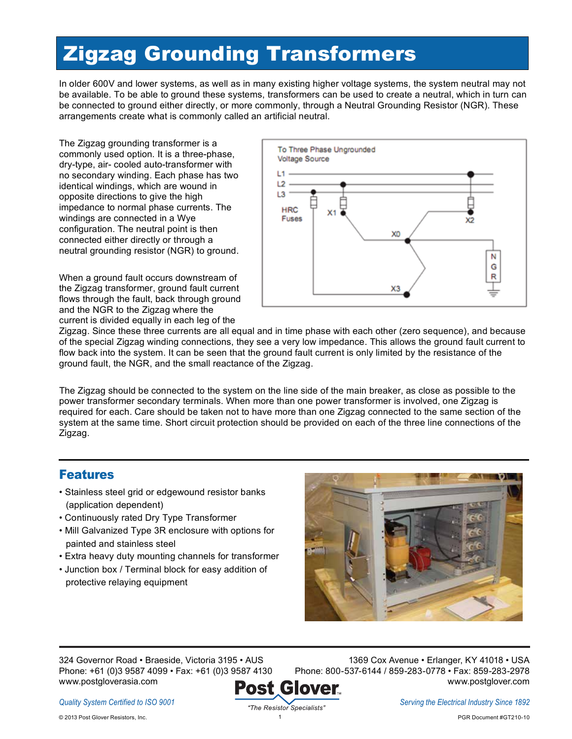# Zigzag Grounding Transformers

In older 600V and lower systems, as well as in many existing higher voltage systems, the system neutral may not be available. To be able to ground these systems, transformers can be used to create a neutral, which in turn can be connected to ground either directly, or more commonly, through a Neutral Grounding Resistor (NGR). These arrangements create what is commonly called an artificial neutral.

The Zigzag grounding transformer is a commonly used option. It is a three-phase, dry-type, air- cooled auto-transformer with no secondary winding. Each phase has two identical windings, which are wound in opposite directions to give the high impedance to normal phase currents. The windings are connected in a Wye configuration. The neutral point is then connected either directly or through a neutral grounding resistor (NGR) to ground.

When a ground fault occurs downstream of the Zigzag transformer, ground fault current flows through the fault, back through ground and the NGR to the Zigzag where the current is divided equally in each leg of the



Zigzag. Since these three currents are all equal and in time phase with each other (zero sequence), and because of the special Zigzag winding connections, they see a very low impedance. This allows the ground fault current to flow back into the system. It can be seen that the ground fault current is only limited by the resistance of the ground fault, the NGR, and the small reactance of the Zigzag.

The Zigzag should be connected to the system on the line side of the main breaker, as close as possible to the power transformer secondary terminals. When more than one power transformer is involved, one Zigzag is required for each. Care should be taken not to have more than one Zigzag connected to the same section of the system at the same time. Short circuit protection should be provided on each of the three line connections of the Zigzag.

## Features

- Stainless steel grid or edgewound resistor banks (application dependent)
- Continuously rated Dry Type Transformer
- Mill Galvanized Type 3R enclosure with options for painted and stainless steel
- Extra heavy duty mounting channels for transformer
- Junction box / Terminal block for easy addition of protective relaying equipment



324 Governor Road • Braeside, Victoria 3195 • AUS Phone: +61 (0)3 9587 4099 • Fax: +61 (0)3 9587 4130 www.postgloverasia.com ost

1369 Cox Avenue • Erlanger, KY 41018 • USA Phone: 800-537-6144 / 859-283-0778 • Fax: 859-283-2978 www.postglover.com Glover

*Quality System Certified to ISO 9001*

© 2013 Post Glover Resistors, Inc.

*Serving the Electrical Industry Since 1892*

1 PGR Document #GT210-10